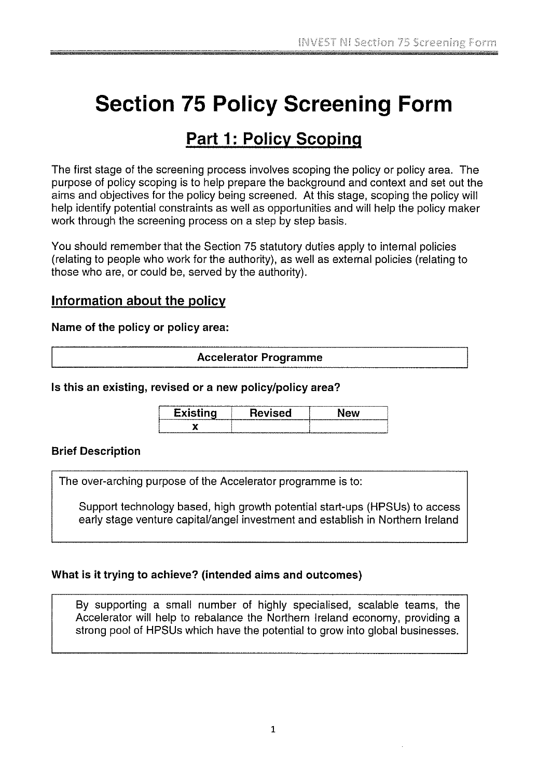# Section 75 Policy Screening Form

# Part 1: Policy Scoping

The first stage of the screening process involves scoping the policy or policy area. The purpose of policy scoping is to help prepare the background and context and set out the aims and objectives for the policy being screened. At this stage, scoping the policy will help identify potential constraints as well as opportunities and will help the policy maker work through the screening process on a step by step basis.

You should remember that the Section 75 statutory duties apply to internal policies (relating to people who work for the authority), as well as external policies (relating to those who are, or could be, served by the authority).

# Information about the policy

Name of the policy or policy area:

#### Accelerator Programme

| Is this an existing, revised or a new policy/policy area? |                 |         |     |
|-----------------------------------------------------------|-----------------|---------|-----|
|                                                           | <b>Existing</b> | Revised | New |
|                                                           |                 |         |     |

Brief Description

The over-arching purpose of the Accelerator programme is to:

Support technology based, high growth potential start-ups (HPSUs) to access early stage venture capital/angel investment and establish in Northern Ireland

## What is it trying to achieve? (intended aims and outcomes)

By supporting a small number of highly specialised, scalable teams, the Accelerator will help to rebalance the Northern Ireland economy, providing a strong pool of HPSUs which have the potential to grow into global businesses.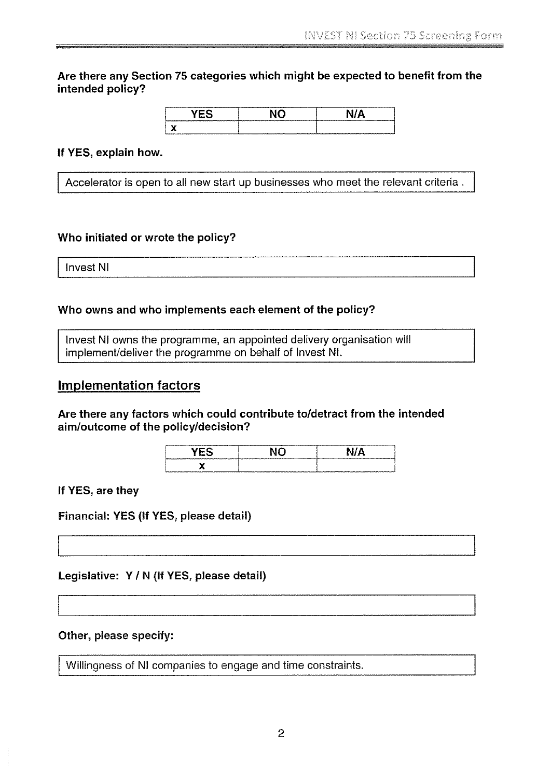Are there any Section 75 categories which might be expected to benefit from the intended policy?

<u>YES</u> NO N/A

#### If YES, explain how.

Accelerator is open to all new start up businesses who meet the relevant criteria.

#### Who initiated or wrote the policy?

Invest NI

#### Who owns and who implements each element of the policy?

Invest NI owns the programme, an appointed delivery organisation will implement/deliver the programme on behalf of Invest NI.

# Implementation factors

Are there any factors which could contribute to/detract from the intended aim/outcome of the policy/decision?

| <br><b>MAIN YOU GUINEESS AND IN</b> | -----<br>THE GROUND COMPANY |
|-------------------------------------|-----------------------------|
| ъ.<br>------                        | พระการกระทบทองเพราะที่      |

If YES, are they

Financial: YES (If YES, please detail)

Legislative: Y / N (If YES, please detail)

#### Other, please specify:

Willingness of NI companies to engage and time constraints.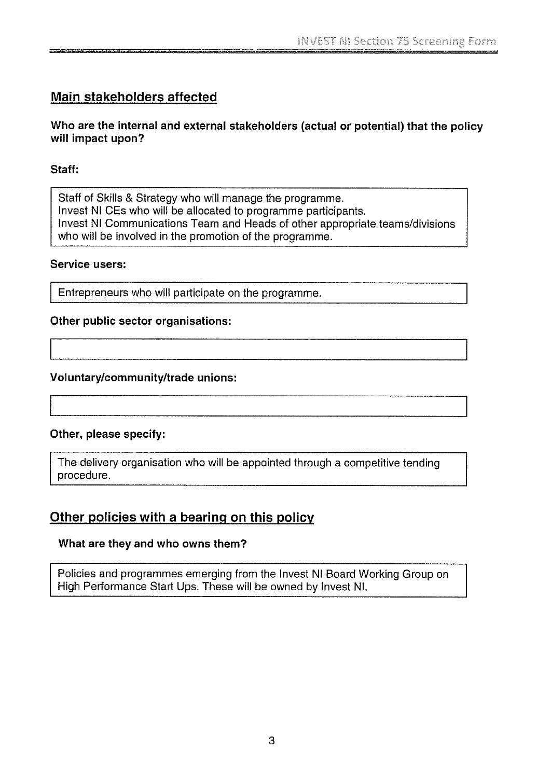# Main stakeholders affected

## Who are the internal and external stakeholders (actual or potential) that the policy will impact upon?

# Staff:

Staff of Skills & Strategy who will manage the programme. Invest NI CEs who will be allocated to programme participants. Invest NI Communications Team and Heads of other appropriate teams/divisions who will be involved in the promotion of the programme.

#### Service users:

Entrepreneurs who will participate on the programme.

## Other public sector organisations:

## Voluntarylcommunity/trade unions:

## Other, please specify:

The delivery organisation who will be appointed through a competitive tending procedure.

# Other policies with a bearing on this policy

## What are they and who owns them?

Policies and programmes emerging from the Invest NI Board Working Group on High Performance Start Ups. These will be owned by Invest NI.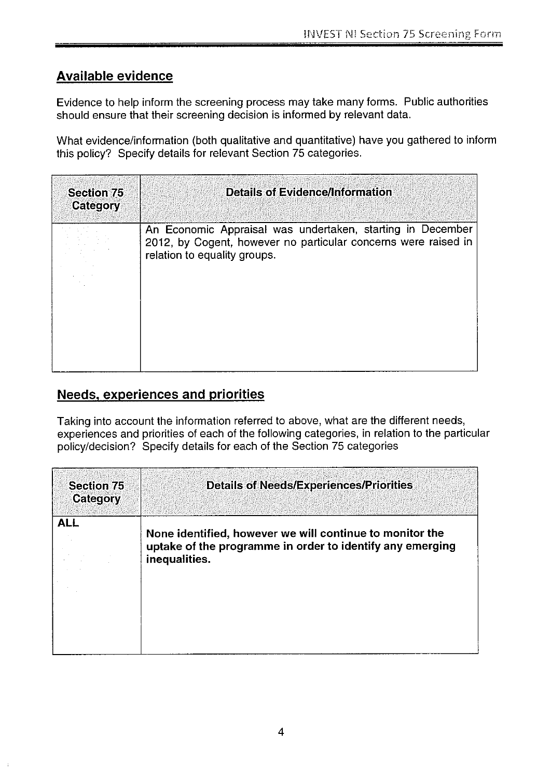# Available evidence

Evidence to help inform the screening process may take many forms. Public authorities should ensure that their screening decision is informed by relevant data.

What evidence/information (both qualitative and quantitative) have you gathered to inform this policy? Specify details for relevant Section 75 categories.

| <b>Section 75</b><br>Category | <b>Details of Evidence/Information</b>                                                                                                                       |
|-------------------------------|--------------------------------------------------------------------------------------------------------------------------------------------------------------|
|                               | An Economic Appraisal was undertaken, starting in December<br>2012, by Cogent, however no particular concerns were raised in<br>relation to equality groups. |

# Needs, experiences and priorities

Taking into account the information referred to above, what are the different needs, experiences and priorities of each of the following categories, in relation to the particular policy/decision? Specify details for each of the Section 75 categories

| <b>Section 75</b><br>Category | <b>Details of Needs/Experiences/Priorities</b>                                                                                         |
|-------------------------------|----------------------------------------------------------------------------------------------------------------------------------------|
| <b>ALL</b>                    | None identified, however we will continue to monitor the<br>uptake of the programme in order to identify any emerging<br>inequalities. |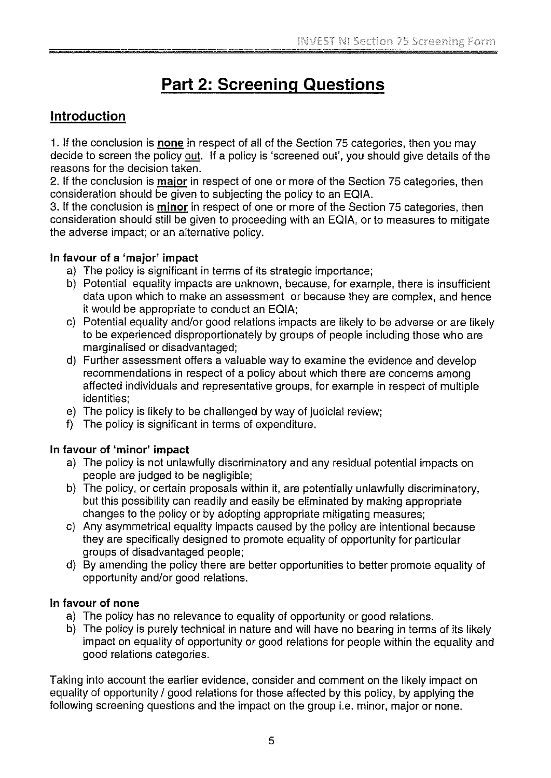# Part 2: Screening Questions

# Introduction

1. If the conclusion is none in respect of all of the Section 75 categories, then you may decide to screen the policy out. If a policy is 'screened out', you should give details of the reasons for the decision taken.

2. If the conclusion is major in respect of one or more of the Section 75 categories, then consideration should be given to subjecting the policy to an EQIA.

3. If the conclusion is minor in respect of one or more of the Section 75 categories, then consideration should still be given to proceeding with an EQIA, or to measures to mitigate the adverse impact; or an alternative policy.

# In favour of a 'major' impact

- a) The policy is significant in terms of its strategic importance;
- b) Potential equality impacts are unknown, because, for example, there is insufficient data upon which to make an assessment or because they are complex, and hence it would be appropriate to conduct an EQIA;
- c) Potential equality and/or good relations impacts are likely to be adverse or are likely to be experienced disproportionately by groups of people including those who are marginalised or disadvantaged;
- d) Further assessment offers a valuable way to examine the evidence and develop recommendations in respect of a policy about which there are concerns among affected individuals and representative groups, for example in respect of multiple identities;
- e) The policy is likely to be challenged by way of judicial review;
- f) The policy is significant in terms of expenditure.

# In favour of 'minor' impact

- a) The policy is not unlawfully discriminatory and any residual potential impacts on people are judged to be negligible;
- b) The policy, or certain proposals within it, are potentially unlawfully discriminatory, but this possibility can readily and easily be eliminated by making appropriate changes to the policy or by adopting appropriate mitigating measures;
- c) Any asymmetrical equality impacts caused by the policy are intentional because they are specifically designed to promote equality of opportunity for particular groups of disadvantaged people;
- d) By amending the policy there are better opportunities to better promote equality of opportunity and/or good relations.

## In favour of none

- a) The policy has no relevance to equality of opportunity or good relations.
- b) The policy is purely technical in nature and will have no bearing in terms of its likely impact on equality of opportunity or good relations for people within the equality and good relations categories.

Taking into account the earlier evidence, consider and comment on the likely impact on equality of opportunity / good relations for those affected by this policy, by applying the following screening questions and the impact on the group i.e. minor, major or none.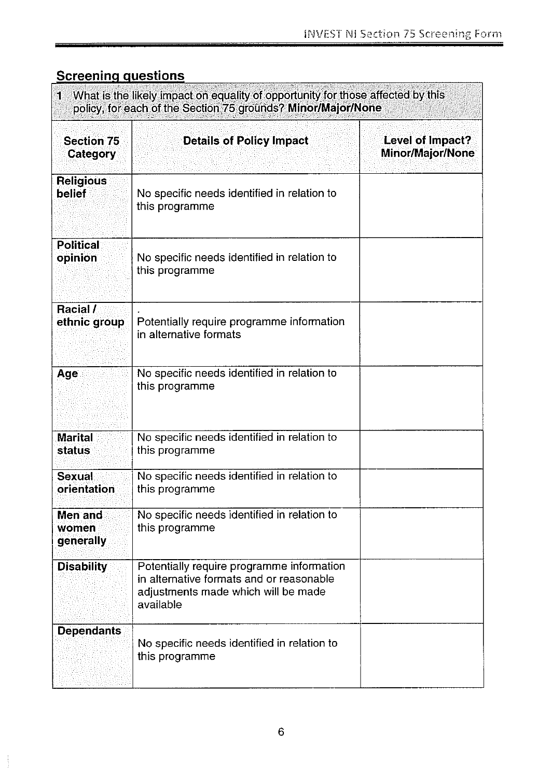# **Screening questions**

| What is the likely impact on equality of opportunity for those affected by this<br>$\mathbf{1}$<br>policy, for each of the Section 75 grounds? Minor/Major/None |                                                                                                                                           |                                             |  |
|-----------------------------------------------------------------------------------------------------------------------------------------------------------------|-------------------------------------------------------------------------------------------------------------------------------------------|---------------------------------------------|--|
| <b>Section 75</b><br><b>Category</b>                                                                                                                            | <b>Details of Policy Impact</b>                                                                                                           | Level of Impact?<br><b>Minor/Major/None</b> |  |
| <b>Religious</b><br><b>belief</b>                                                                                                                               | No specific needs identified in relation to<br>this programme                                                                             |                                             |  |
| <b>Political</b><br>opinion                                                                                                                                     | No specific needs identified in relation to<br>this programme                                                                             |                                             |  |
| Racial /<br>ethnic group                                                                                                                                        | Potentially require programme information<br>in alternative formats                                                                       |                                             |  |
| Age                                                                                                                                                             | No specific needs identified in relation to<br>this programme                                                                             |                                             |  |
| <b>Marital</b><br>status                                                                                                                                        | No specific needs identified in relation to<br>this programme                                                                             |                                             |  |
| <b>Sexual</b><br>orientation                                                                                                                                    | No specific needs identified in relation to<br>this programme                                                                             |                                             |  |
| Men and<br>women<br>generally                                                                                                                                   | No specific needs identified in relation to<br>this programme                                                                             |                                             |  |
| <b>Disability</b>                                                                                                                                               | Potentially require programme information<br>in alternative formats and or reasonable<br>adjustments made which will be made<br>available |                                             |  |
| <b>Dependants</b>                                                                                                                                               | No specific needs identified in relation to<br>this programme                                                                             |                                             |  |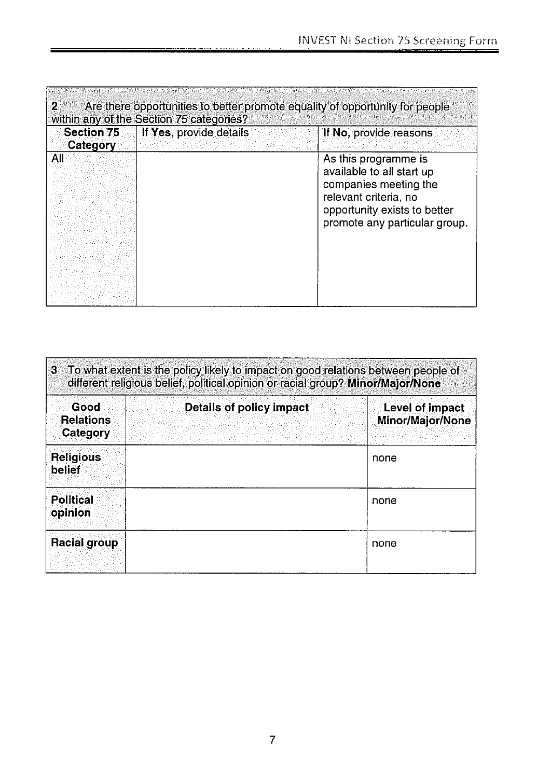| <b>Section 75</b><br>Category | If Yes, provide details | If No, provide reasons                                                                                                                                               |
|-------------------------------|-------------------------|----------------------------------------------------------------------------------------------------------------------------------------------------------------------|
| All                           |                         | As this programme is<br>available to all start up<br>companies meeting the<br>relevant criteria, no<br>opportunity exists to better<br>promote any particular group. |
|                               |                         |                                                                                                                                                                      |

| Good<br><b>Relations</b><br>Category | Details of policy impact | Level of impact<br><b>Minor/Major/None</b> |
|--------------------------------------|--------------------------|--------------------------------------------|
| <b>Religious</b><br>belief           |                          | none                                       |
| <b>Political</b><br>opinion          |                          | none                                       |
| <b>Racial group</b>                  |                          | none                                       |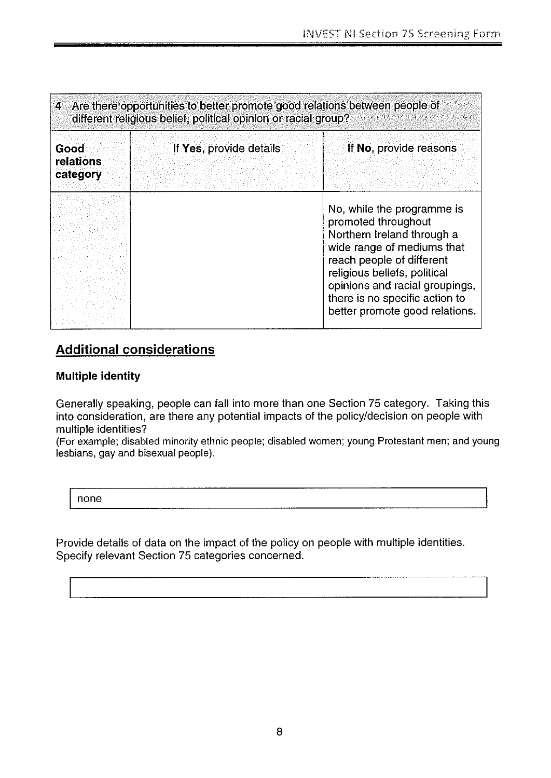| 4 Are there opportunities to better promote good relations between people of<br>different religious belief, political opinion or racial group? |                         |                                                                                                                                                                                                                                                                                  |
|------------------------------------------------------------------------------------------------------------------------------------------------|-------------------------|----------------------------------------------------------------------------------------------------------------------------------------------------------------------------------------------------------------------------------------------------------------------------------|
| <b>Good</b><br>relations<br>category                                                                                                           | If Yes, provide details | If No, provide reasons                                                                                                                                                                                                                                                           |
|                                                                                                                                                |                         | No, while the programme is<br>promoted throughout<br>Northern Ireland through a<br>wide range of mediums that<br>reach people of different<br>religious beliefs, political<br>opinions and racial groupings,<br>there is no specific action to<br>better promote good relations. |

# Additional considerations

## Multiple identity

Generally speaking, people can fall into more than one Section 75 category. Taking this into consideration, are there any potential impacts of the policy/decision on people with multiple identities?

(For example; disabled minority ethnic people; disabled women; young Protestant men; and young lesbians, gay and bisexual people).

none

Provide details of data on the impact of the policy on people with multiple identities. Specify relevant Section 75 categories concerned.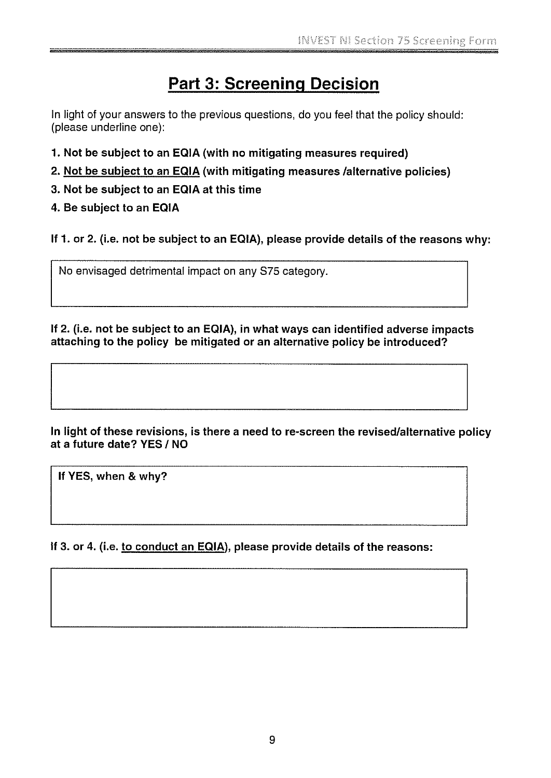# **Part 3: Screening Decision**

In light of your answers to the previous questions, do you feel that the policy should: (please underline one):

- 1. Not be subject to an EQIA (with no mitigating measures required)
- 2. Not be subject to an EQIA (with mitigating measures /alternative policies)
- 3. Not be subject to an EGIA at this time

# 4. Be subject to an EQIA

If 1. or 2. (i.e. not be subject to an EQIA), please provide details of the reasons why:

No envisaged detrimental impact on any S75 category.

If 2. (i.e. not be subject to an EQIA), in what ways can identified adverse impacts attaching to the policy be mitigated or an alternative policy be introduced?

In light of these revisions, is there a need to re-screen the revised/alternative policy at a future date? YES / NO

If YES, when & why?

If 3. or 4. (i.e. to conduct an EQIA), please provide details of the reasons: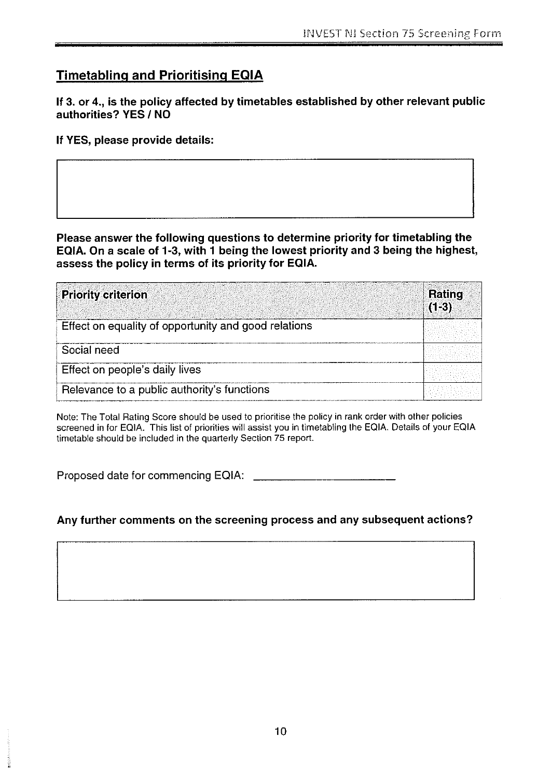# Timetabling and Prioritising EOIA

If 3. or 4., is the policy affected by timetables established by other relevant public authorities? YES / NO

If YES, please provide details:

Please answer the following questions to determine priority for timetabling the EQIA. On a scale of 1-3, with <sup>1</sup> being the lowest priority and 3 being the highest, assess the policy in terms of its priority for EQIA.

| <b>Priority criterion</b>                            | Rating<br>$(1-3)$ |
|------------------------------------------------------|-------------------|
| Effect on equality of opportunity and good relations |                   |
| Social need                                          |                   |
| Effect on people's daily lives                       |                   |
| Relevance to a public authority's functions          |                   |

Note: The Total Rating Score should be used to prioritise the policy in rank order with other policies screened in for EQIA. This list of priorities will assist you in timetabling the EQIA. Details of your EQIA timetable should be included in the quarterly Section 75 report.

Proposed date for commencing EQIA:

# Any further comments on the screening process and any subsequent actions?